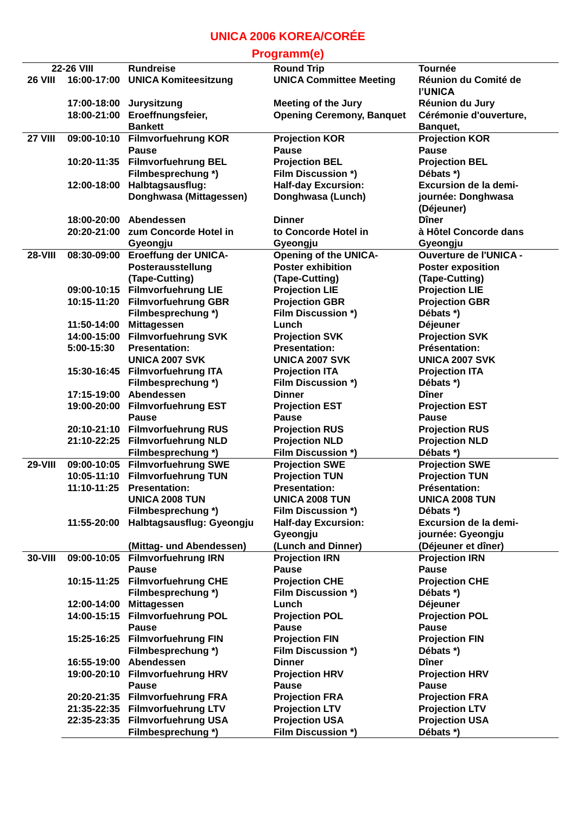## **UNICA 2006 KOREA/CORÉE**

## **Programm(e)**

| 22-26 VIII     |             | <b>Rundreise</b>                | <b>Round Trip</b>                | <b>Tournée</b>                |
|----------------|-------------|---------------------------------|----------------------------------|-------------------------------|
| <b>26 VIII</b> | 16:00-17:00 | <b>UNICA Komiteesitzung</b>     | <b>UNICA Committee Meeting</b>   | Réunion du Comité de          |
|                |             |                                 |                                  | <b>I'UNICA</b>                |
|                | 17:00-18:00 | Jurysitzung                     | <b>Meeting of the Jury</b>       | Réunion du Jury               |
|                | 18:00-21:00 | Eroeffnungsfeier,               | <b>Opening Ceremony, Banquet</b> | Cérémonie d'ouverture,        |
|                |             | <b>Bankett</b>                  |                                  | Banquet,                      |
| <b>27 VIII</b> | 09:00-10:10 | <b>Filmvorfuehrung KOR</b>      | <b>Projection KOR</b>            | <b>Projection KOR</b>         |
|                |             | <b>Pause</b>                    | <b>Pause</b>                     | <b>Pause</b>                  |
|                | 10:20-11:35 | <b>Filmvorfuehrung BEL</b>      | <b>Projection BEL</b>            | <b>Projection BEL</b>         |
|                |             | Filmbesprechung *)              | Film Discussion *)               | Débats *)                     |
|                | 12:00-18:00 | Halbtagsausflug:                | <b>Half-day Excursion:</b>       | Excursion de la demi-         |
|                |             | Donghwasa (Mittagessen)         | Donghwasa (Lunch)                | journée: Donghwasa            |
|                |             |                                 |                                  | (Déjeuner)                    |
|                | 18:00-20:00 | Abendessen                      | <b>Dinner</b>                    | <b>D</b> îner                 |
|                | 20:20-21:00 | zum Concorde Hotel in           | to Concorde Hotel in             | à Hôtel Concorde dans         |
|                |             | Gyeongju                        | Gyeongju                         | Gyeongju                      |
| <b>28-VIII</b> | 08:30-09:00 | <b>Eroeffung der UNICA-</b>     | <b>Opening of the UNICA-</b>     | <b>Ouverture de l'UNICA -</b> |
|                |             | Posterausstellung               | <b>Poster exhibition</b>         | <b>Poster exposition</b>      |
|                |             | (Tape-Cutting)                  | (Tape-Cutting)                   | (Tape-Cutting)                |
|                |             | 09:00-10:15 Filmvorfuehrung LIE | <b>Projection LIE</b>            | <b>Projection LIE</b>         |
|                | 10:15-11:20 | <b>Filmvorfuehrung GBR</b>      | <b>Projection GBR</b>            | <b>Projection GBR</b>         |
|                |             | Filmbesprechung *)              | <b>Film Discussion *)</b>        | Débats *)                     |
|                | 11:50-14:00 | <b>Mittagessen</b>              | Lunch                            | Déjeuner                      |
|                | 14:00-15:00 | <b>Filmvorfuehrung SVK</b>      | <b>Projection SVK</b>            | <b>Projection SVK</b>         |
|                | 5:00-15:30  | <b>Presentation:</b>            | <b>Presentation:</b>             | <b>Présentation:</b>          |
|                |             | <b>UNICA 2007 SVK</b>           | <b>UNICA 2007 SVK</b>            | <b>UNICA 2007 SVK</b>         |
|                | 15:30-16:45 | <b>Filmvorfuehrung ITA</b>      | <b>Projection ITA</b>            | <b>Projection ITA</b>         |
|                |             | Filmbesprechung *)              | <b>Film Discussion *)</b>        | Débats *)                     |
|                | 17:15-19:00 | Abendessen                      | <b>Dinner</b>                    | <b>D</b> îner                 |
|                | 19:00-20:00 | <b>Filmvorfuehrung EST</b>      | <b>Projection EST</b>            | <b>Projection EST</b>         |
|                |             | <b>Pause</b>                    | <b>Pause</b>                     | <b>Pause</b>                  |
|                |             | 20:10-21:10 Filmvorfuehrung RUS | <b>Projection RUS</b>            | <b>Projection RUS</b>         |
|                | 21:10-22:25 | <b>Filmvorfuehrung NLD</b>      | <b>Projection NLD</b>            | <b>Projection NLD</b>         |
|                |             | Filmbesprechung *)              | <b>Film Discussion *)</b>        | Débats *)                     |
| <b>29-VIII</b> |             | 09:00-10:05 Filmvorfuehrung SWE | <b>Projection SWE</b>            | <b>Projection SWE</b>         |
|                | 10:05-11:10 | <b>Filmvorfuehrung TUN</b>      | <b>Projection TUN</b>            | <b>Projection TUN</b>         |
|                | 11:10-11:25 | <b>Presentation:</b>            | <b>Presentation:</b>             | <b>Présentation:</b>          |
|                |             | <b>UNICA 2008 TUN</b>           | <b>UNICA 2008 TUN</b>            | <b>UNICA 2008 TUN</b>         |
|                |             | Filmbesprechung *)              | <b>Film Discussion *)</b>        | Débats *)                     |
|                | 11:55-20:00 | Halbtagsausflug: Gyeongju       | <b>Half-day Excursion:</b>       | Excursion de la demi-         |
|                |             |                                 | Gyeongju                         | journée: Gyeongju             |
|                |             | (Mittag- und Abendessen)        | (Lunch and Dinner)               | (Déjeuner et dîner)           |
| 30-VIII        | 09:00-10:05 | <b>Filmvorfuehrung IRN</b>      | <b>Projection IRN</b>            | <b>Projection IRN</b>         |
|                |             | <b>Pause</b>                    | <b>Pause</b>                     | <b>Pause</b>                  |
|                | 10:15-11:25 | <b>Filmvorfuehrung CHE</b>      | <b>Projection CHE</b>            | <b>Projection CHE</b>         |
|                |             | Filmbesprechung *)              | <b>Film Discussion *)</b>        | Débats *)                     |
|                | 12:00-14:00 | <b>Mittagessen</b>              | Lunch                            | Déjeuner                      |
|                |             | 14:00-15:15 Filmvorfuehrung POL | <b>Projection POL</b>            | <b>Projection POL</b>         |
|                |             | <b>Pause</b>                    | <b>Pause</b>                     | <b>Pause</b>                  |
|                | 15:25-16:25 | <b>Filmvorfuehrung FIN</b>      | <b>Projection FIN</b>            | <b>Projection FIN</b>         |
|                |             | Filmbesprechung *)              | Film Discussion *)               | Débats *)                     |
|                | 16:55-19:00 | Abendessen                      | <b>Dinner</b>                    | <b>D</b> îner                 |
|                |             | 19:00-20:10 Filmvorfuehrung HRV | <b>Projection HRV</b>            | <b>Projection HRV</b>         |
|                |             | <b>Pause</b>                    | <b>Pause</b>                     | <b>Pause</b>                  |
|                |             | 20:20-21:35 Filmvorfuehrung FRA | <b>Projection FRA</b>            | <b>Projection FRA</b>         |
|                |             | 21:35-22:35 Filmvorfuehrung LTV | <b>Projection LTV</b>            | <b>Projection LTV</b>         |
|                | 22:35-23:35 | <b>Filmvorfuehrung USA</b>      | <b>Projection USA</b>            | <b>Projection USA</b>         |
|                |             | Filmbesprechung *)              | <b>Film Discussion *)</b>        | Débats *)                     |